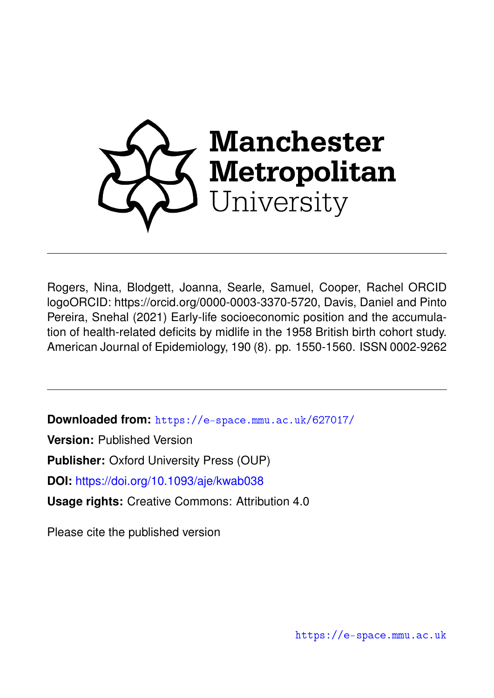

Rogers, Nina, Blodgett, Joanna, Searle, Samuel, Cooper, Rachel ORCID logoORCID: https://orcid.org/0000-0003-3370-5720, Davis, Daniel and Pinto Pereira, Snehal (2021) Early-life socioeconomic position and the accumulation of health-related deficits by midlife in the 1958 British birth cohort study. American Journal of Epidemiology, 190 (8). pp. 1550-1560. ISSN 0002-9262

**Downloaded from:** <https://e-space.mmu.ac.uk/627017/>

**Version:** Published Version

**Publisher:** Oxford University Press (OUP)

**DOI:** <https://doi.org/10.1093/aje/kwab038>

**Usage rights:** Creative Commons: Attribution 4.0

Please cite the published version

<https://e-space.mmu.ac.uk>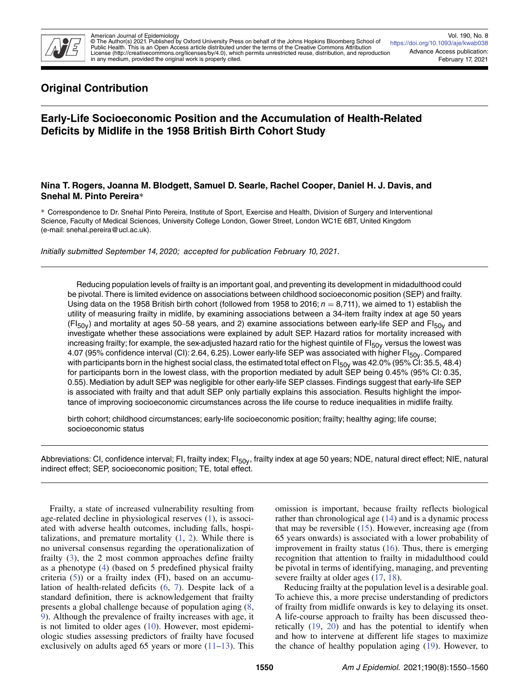

# **Original Contribution**

# **Early-Life Socioeconomic Position and the Accumulation of Health-Related Deficits by Midlife in the 1958 British Birth Cohort Study**

## **Nina T. Rogers, Joanna M. Blodgett, Samuel D. Searle, Rachel Cooper, Daniel H. J. Davis, and Snehal M. Pinto Pereira**∗

∗ Correspondence to Dr. Snehal Pinto Pereira, Institute of Sport, Exercise and Health, Division of Surgery and Interventional Science, Faculty of Medical Sciences, University College London, Gower Street, London WC1E 6BT, United Kingdom (e-mail: snehal.pereira@ucl.ac.uk).

Initially submitted September 14, 2020; accepted for publication February 10, 2021.

Reducing population levels of frailty is an important goal, and preventing its development in midadulthood could be pivotal. There is limited evidence on associations between childhood socioeconomic position (SEP) and frailty. Using data on the 1958 British birth cohort (followed from 1958 to 2016;  $n = 8,711$ ), we aimed to 1) establish the utility of measuring frailty in midlife, by examining associations between a 34-item frailty index at age 50 years  $(FI_{50y})$  and mortality at ages 50–58 years, and 2) examine associations between early-life SEP and FI<sub>50y</sub> and investigate whether these associations were explained by adult SEP. Hazard ratios for mortality increased with increasing frailty; for example, the sex-adjusted hazard ratio for the highest quintile of  $FI<sub>50y</sub>$  versus the lowest was 4.07 (95% confidence interval (CI): 2.64, 6.25). Lower early-life SEP was associated with higher Fl<sub>50y</sub>. Compared with participants born in the highest social class, the estimated total effect on  $F|_{50y}$  was 42.0% (95% CI: 35.5, 48.4) for participants born in the lowest class, with the proportion mediated by adult SEP being 0.45% (95% CI: 0.35, 0.55). Mediation by adult SEP was negligible for other early-life SEP classes. Findings suggest that early-life SEP is associated with frailty and that adult SEP only partially explains this association. Results highlight the importance of improving socioeconomic circumstances across the life course to reduce inequalities in midlife frailty.

birth cohort; childhood circumstances; early-life socioeconomic position; frailty; healthy aging; life course; socioeconomic status

Abbreviations: CI, confidence interval; FI, frailty index; FI<sub>50y</sub>, frailty index at age 50 years; NDE, natural direct effect; NIE, natural indirect effect; SEP, socioeconomic position; TE, total effect.

Frailty, a state of increased vulnerability resulting from age-related decline in physiological reserves [\(1\)](#page-9-0), is associated with adverse health outcomes, including falls, hospitalizations, and premature mortality  $(1, 2)$  $(1, 2)$  $(1, 2)$ . While there is no universal consensus regarding the operationalization of frailty [\(3\)](#page-9-2), the 2 most common approaches define frailty as a phenotype [\(4\)](#page-9-3) (based on 5 predefined physical frailty criteria [\(5\)](#page-9-4)) or a frailty index (FI), based on an accumulation of health-related deficits [\(6,](#page-9-5) [7\)](#page-9-6). Despite lack of a standard definition, there is acknowledgement that frailty presents a global challenge because of population aging [\(8,](#page-10-0) [9\)](#page-10-1). Although the prevalence of frailty increases with age, it is not limited to older ages [\(10\)](#page-10-2). However, most epidemiologic studies assessing predictors of frailty have focused exclusively on adults aged 65 years or more [\(11](#page-10-3)[–13\)](#page-10-4). This omission is important, because frailty reflects biological rather than chronological age [\(14\)](#page-10-5) and is a dynamic process that may be reversible  $(15)$ . However, increasing age (from 65 years onwards) is associated with a lower probability of improvement in frailty status [\(16\)](#page-10-7). Thus, there is emerging recognition that attention to frailty in midadulthood could be pivotal in terms of identifying, managing, and preventing severe frailty at older ages  $(17, 18)$  $(17, 18)$  $(17, 18)$ .

Reducing frailty at the population level is a desirable goal. To achieve this, a more precise understanding of predictors of frailty from midlife onwards is key to delaying its onset. A life-course approach to frailty has been discussed theoretically [\(19,](#page-10-10) [20\)](#page-10-11) and has the potential to identify when and how to intervene at different life stages to maximize the chance of healthy population aging [\(19\)](#page-10-10). However, to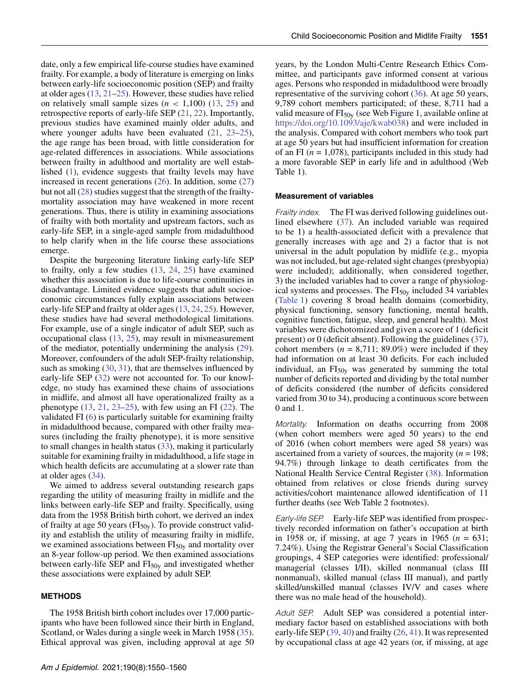date, only a few empirical life-course studies have examined frailty. For example, a body of literature is emerging on links between early-life socioeconomic position (SEP) and frailty at older ages [\(13,](#page-10-4) [21](#page-10-12)[–25\)](#page-10-13). However, these studies have relied on relatively small sample sizes  $(n < 1,100)$  [\(13,](#page-10-4) [25\)](#page-10-13) and retrospective reports of early-life SEP [\(21,](#page-10-12) [22\)](#page-10-14). Importantly, previous studies have examined mainly older adults, and where younger adults have been evaluated  $(21, 23-25)$  $(21, 23-25)$  $(21, 23-25)$  $(21, 23-25)$ , the age range has been broad, with little consideration for age-related differences in associations. While associations between frailty in adulthood and mortality are well established [\(1\)](#page-9-0), evidence suggests that frailty levels may have increased in recent generations [\(26\)](#page-10-16). In addition, some [\(27\)](#page-10-17) but not all [\(28\)](#page-10-18) studies suggest that the strength of the frailtymortality association may have weakened in more recent generations. Thus, there is utility in examining associations of frailty with both mortality and upstream factors, such as early-life SEP, in a single-aged sample from midadulthood to help clarify when in the life course these associations emerge.

Despite the burgeoning literature linking early-life SEP to frailty, only a few studies [\(13,](#page-10-4) [24,](#page-10-19) [25\)](#page-10-13) have examined whether this association is due to life-course continuities in disadvantage. Limited evidence suggests that adult socioeconomic circumstances fully explain associations between early-life SEP and frailty at older ages [\(13,](#page-10-4) [24,](#page-10-19) [25\)](#page-10-13). However, these studies have had several methodological limitations. For example, use of a single indicator of adult SEP, such as occupational class [\(13,](#page-10-4) [25\)](#page-10-13), may result in mismeasurement of the mediator, potentially undermining the analysis [\(29\)](#page-10-20). Moreover, confounders of the adult SEP-frailty relationship, such as smoking [\(30,](#page-10-21) [31\)](#page-10-22), that are themselves influenced by early-life SEP [\(32\)](#page-10-23) were not accounted for. To our knowledge, no study has examined these chains of associations in midlife, and almost all have operationalized frailty as a phenotype  $(13, 21, 23-25)$  $(13, 21, 23-25)$  $(13, 21, 23-25)$  $(13, 21, 23-25)$  $(13, 21, 23-25)$ , with few using an FI  $(22)$ . The validated FI [\(6\)](#page-9-5) is particularly suitable for examining frailty in midadulthood because, compared with other frailty measures (including the frailty phenotype), it is more sensitive to small changes in health status [\(33\)](#page-10-24), making it particularly suitable for examining frailty in midadulthood, a life stage in which health deficits are accumulating at a slower rate than at older ages [\(34\)](#page-10-25).

We aimed to address several outstanding research gaps regarding the utility of measuring frailty in midlife and the links between early-life SEP and frailty. Specifically, using data from the 1958 British birth cohort, we derived an index of frailty at age 50 years ( $FI<sub>50y</sub>$ ). To provide construct validity and establish the utility of measuring frailty in midlife, we examined associations between  $FI<sub>50y</sub>$  and mortality over an 8-year follow-up period. We then examined associations between early-life SEP and  $FI<sub>50y</sub>$  and investigated whether these associations were explained by adult SEP.

## **METHODS**

The 1958 British birth cohort includes over 17,000 participants who have been followed since their birth in England, Scotland, or Wales during a single week in March 1958 [\(35\)](#page-10-26). Ethical approval was given, including approval at age 50 years, by the London Multi-Centre Research Ethics Committee, and participants gave informed consent at various ages. Persons who responded in midadulthood were broadly representative of the surviving cohort [\(36\)](#page-10-27). At age 50 years, 9,789 cohort members participated; of these, 8,711 had a valid measure of  $FI<sub>50y</sub>$  (see Web Figure 1, available online at [https://doi.org/10.1093/aje/kwab038\)](https://doi.org/10.1093/aje/kwab038) and were included in the analysis. Compared with cohort members who took part at age 50 years but had insufficient information for creation of an FI  $(n = 1,078)$ , participants included in this study had a more favorable SEP in early life and in adulthood (Web Table 1).

#### **Measurement of variables**

Frailty index. The FI was derived following guidelines outlined elsewhere [\(37\)](#page-10-28). An included variable was required to be 1) a health-associated deficit with a prevalence that generally increases with age and 2) a factor that is not universal in the adult population by midlife (e.g., myopia was not included, but age-related sight changes (presbyopia) were included); additionally, when considered together, 3) the included variables had to cover a range of physiological systems and processes. The  $FI<sub>50y</sub>$  included 34 variables [\(Table 1\)](#page-3-0) covering 8 broad health domains (comorbidity, physical functioning, sensory functioning, mental health, cognitive function, fatigue, sleep, and general health). Most variables were dichotomized and given a score of 1 (deficit present) or 0 (deficit absent). Following the guidelines [\(37\)](#page-10-28), cohort members  $(n = 8,711; 89.0\%)$  were included if they had information on at least 30 deficits. For each included individual, an  $FI<sub>50v</sub>$  was generated by summing the total number of deficits reported and dividing by the total number of deficits considered (the number of deficits considered varied from 30 to 34), producing a continuous score between 0 and 1.

Mortality. Information on deaths occurring from 2008 (when cohort members were aged 50 years) to the end of 2016 (when cohort members were aged 58 years) was ascertained from a variety of sources, the majority (*n* = 198; 94.7%) through linkage to death certificates from the National Health Service Central Register [\(38\)](#page-10-29). Information obtained from relatives or close friends during survey activities/cohort maintenance allowed identification of 11 further deaths (see Web Table 2 footnotes).

Early-life SEP. Early-life SEP was identified from prospectively recorded information on father's occupation at birth in 1958 or, if missing, at age 7 years in 1965 (*n* = 631; 7.24%). Using the Registrar General's Social Classification groupings, 4 SEP categories were identified: professional/ managerial (classes I/II), skilled nonmanual (class III nonmanual), skilled manual (class III manual), and partly skilled/unskilled manual (classes IV/V and cases where there was no male head of the household).

Adult SEP. Adult SEP was considered a potential intermediary factor based on established associations with both early-life SEP [\(39,](#page-10-30) [40\)](#page-10-31) and frailty [\(26,](#page-10-16) [41\)](#page-10-32). It was represented by occupational class at age 42 years (or, if missing, at age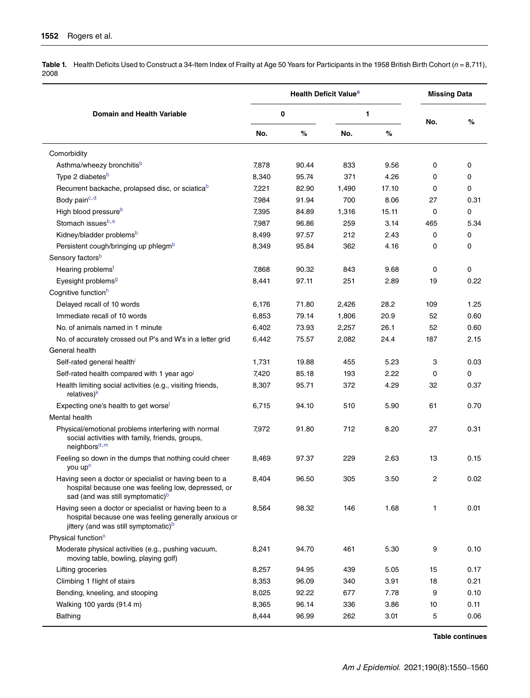<span id="page-3-0"></span>Table 1. Health Deficits Used to Construct a 34-Item Index of Frailty at Age 50 Years for Participants in the 1958 British Birth Cohort (n = 8,711), 2008

|                                                                                                                                                                     | <b>Health Deficit Value<sup>a</sup></b> |       |       |       | <b>Missing Data</b> |          |
|---------------------------------------------------------------------------------------------------------------------------------------------------------------------|-----------------------------------------|-------|-------|-------|---------------------|----------|
| <b>Domain and Health Variable</b>                                                                                                                                   | 0                                       |       | 1     |       |                     |          |
|                                                                                                                                                                     | No.                                     | $\%$  | No.   | $\%$  | No.                 | %        |
| Comorbidity                                                                                                                                                         |                                         |       |       |       |                     |          |
| Asthma/wheezy bronchitis <sup>b</sup>                                                                                                                               | 7,878                                   | 90.44 | 833   | 9.56  | 0                   | 0        |
| Type 2 diabetes <sup>b</sup>                                                                                                                                        | 8,340                                   | 95.74 | 371   | 4.26  | 0                   | $\Omega$ |
| Recurrent backache, prolapsed disc, or sciatica <sup>b</sup>                                                                                                        | 7,221                                   | 82.90 | 1,490 | 17.10 | 0                   | 0        |
| Body pain <sup>c, d</sup>                                                                                                                                           | 7,984                                   | 91.94 | 700   | 8.06  | 27                  | 0.31     |
| High blood pressure <sup>b</sup>                                                                                                                                    | 7,395                                   | 84.89 | 1,316 | 15.11 | 0                   | 0        |
| Stomach issuesb,e                                                                                                                                                   | 7,987                                   | 96.86 | 259   | 3.14  | 465                 | 5.34     |
| Kidney/bladder problems <sup>b</sup>                                                                                                                                | 8,499                                   | 97.57 | 212   | 2.43  | 0                   | 0        |
| Persistent cough/bringing up phlegm <sup>b</sup>                                                                                                                    | 8,349                                   | 95.84 | 362   | 4.16  | 0                   | $\Omega$ |
| Sensory factors <sup>b</sup>                                                                                                                                        |                                         |       |       |       |                     |          |
| Hearing problems <sup>t</sup>                                                                                                                                       | 7,868                                   | 90.32 | 843   | 9.68  | 0                   | $\Omega$ |
| Eyesight problems <sup>g</sup>                                                                                                                                      | 8,441                                   | 97.11 | 251   | 2.89  | 19                  | 0.22     |
| Cognitive function <sup>h</sup>                                                                                                                                     |                                         |       |       |       |                     |          |
| Delayed recall of 10 words                                                                                                                                          | 6,176                                   | 71.80 | 2,426 | 28.2  | 109                 | 1.25     |
| Immediate recall of 10 words                                                                                                                                        | 6,853                                   | 79.14 | 1,806 | 20.9  | 52                  | 0.60     |
| No. of animals named in 1 minute                                                                                                                                    | 6,402                                   | 73.93 | 2,257 | 26.1  | 52                  | 0.60     |
| No. of accurately crossed out P's and W's in a letter grid                                                                                                          | 6,442                                   | 75.57 | 2,082 | 24.4  | 187                 | 2.15     |
| General health                                                                                                                                                      |                                         |       |       |       |                     |          |
| Self-rated general health'                                                                                                                                          | 1,731                                   | 19.88 | 455   | 5.23  | 3                   | 0.03     |
| Self-rated health compared with 1 year agol                                                                                                                         | 7,420                                   | 85.18 | 193   | 2.22  | 0                   | $\Omega$ |
| Health limiting social activities (e.g., visiting friends,                                                                                                          | 8,307                                   | 95.71 | 372   | 4.29  | 32                  | 0.37     |
| relatives) <sup>k</sup>                                                                                                                                             |                                         |       |       |       |                     |          |
| Expecting one's health to get worse                                                                                                                                 | 6,715                                   | 94.10 | 510   | 5.90  | 61                  | 0.70     |
| Mental health                                                                                                                                                       |                                         |       |       |       |                     |          |
| Physical/emotional problems interfering with normal<br>social activities with family, friends, groups,<br>neighbors <sup>d, m</sup>                                 | 7,972                                   | 91.80 | 712   | 8.20  | 27                  | 0.31     |
| Feeling so down in the dumps that nothing could cheer<br>you up <sup>n</sup>                                                                                        | 8,469                                   | 97.37 | 229   | 2.63  | 13                  | 0.15     |
| Having seen a doctor or specialist or having been to a<br>hospital because one was feeling low, depressed, or<br>sad (and was still symptomatic) <sup>b</sup>       | 8,404                                   | 96.50 | 305   | 3.50  | 2                   | 0.02     |
| Having seen a doctor or specialist or having been to a<br>hospital because one was feeling generally anxious or<br>jittery (and was still symptomatic) <sup>b</sup> | 8,564                                   | 98.32 | 146   | 1.68  | 1                   | 0.01     |
| Physical function <sup>o</sup>                                                                                                                                      |                                         |       |       |       |                     |          |
| Moderate physical activities (e.g., pushing vacuum,<br>moving table, bowling, playing golf)                                                                         | 8,241                                   | 94.70 | 461   | 5.30  | 9                   | 0.10     |
| Lifting groceries                                                                                                                                                   | 8,257                                   | 94.95 | 439   | 5.05  | 15                  | 0.17     |
| Climbing 1 flight of stairs                                                                                                                                         | 8,353                                   | 96.09 | 340   | 3.91  | 18                  | 0.21     |
| Bending, kneeling, and stooping                                                                                                                                     | 8,025                                   | 92.22 | 677   | 7.78  | 9                   | 0.10     |
| Walking 100 yards (91.4 m)                                                                                                                                          | 8,365                                   | 96.14 | 336   | 3.86  | 10                  | 0.11     |
| Bathing                                                                                                                                                             | 8,444                                   | 96.99 | 262   | 3.01  | 5                   | 0.06     |

**Table continues**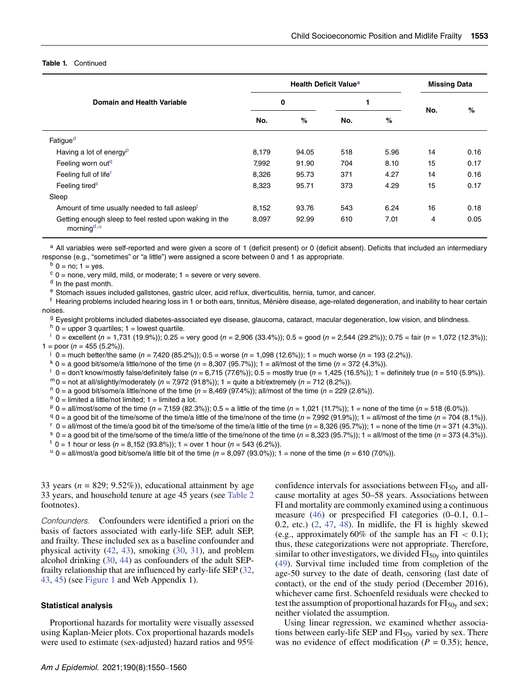#### **Table 1.** Continued

|                                                                                   |       | <b>Health Deficit Value<sup>a</sup></b> | <b>Missing Data</b> |      |     |      |
|-----------------------------------------------------------------------------------|-------|-----------------------------------------|---------------------|------|-----|------|
| Domain and Health Variable                                                        | 0     |                                         |                     |      | No. | %    |
|                                                                                   | No.   | %                                       | No.                 | %    |     |      |
| Fatigue <sup>d</sup>                                                              |       |                                         |                     |      |     |      |
| Having a lot of energy <sup>p</sup>                                               | 8,179 | 94.05                                   | 518                 | 5.96 | 14  | 0.16 |
| Feeling worn out <sup>q</sup>                                                     | 7,992 | 91.90                                   | 704                 | 8.10 | 15  | 0.17 |
| Feeling full of life <sup>r</sup>                                                 | 8,326 | 95.73                                   | 371                 | 4.27 | 14  | 0.16 |
| Feeling tired <sup>s</sup>                                                        | 8,323 | 95.71                                   | 373                 | 4.29 | 15  | 0.17 |
| Sleep                                                                             |       |                                         |                     |      |     |      |
| Amount of time usually needed to fall asleep <sup>t</sup>                         | 8,152 | 93.76                                   | 543                 | 6.24 | 16  | 0.18 |
| Getting enough sleep to feel rested upon waking in the<br>morning <sup>d, u</sup> | 8,097 | 92.99                                   | 610                 | 7.01 | 4   | 0.05 |

a All variables were self-reported and were given a score of 1 (deficit present) or 0 (deficit absent). Deficits that included an intermediary response (e.g., "sometimes" or "a little") were assigned a score between 0 and 1 as appropriate.

 $<sup>b</sup>$  0 = no; 1 = yes.</sup>

 $c$  0 = none, very mild, mild, or moderate; 1 = severe or very severe.

<sup>d</sup> In the past month.

<sup>e</sup> Stomach issues included gallstones, gastric ulcer, acid reflux, diverticulitis, hernia, tumor, and cancer.

<sup>f</sup> Hearing problems included hearing loss in 1 or both ears, tinnitus, Ménière disease, age-related degeneration, and inability to hear certain noises.

<sup>g</sup> Eyesight problems included diabetes-associated eye disease, glaucoma, cataract, macular degeneration, low vision, and blindness.

 $h =$  0 = upper 3 quartiles; 1 = lowest quartile.

 $\frac{1}{1}$  0 = excellent (n = 1,731 (19.9%)); 0.25 = very good (n = 2,906 (33.4%)); 0.5 = good (n = 2,544 (29.2%)); 0.75 = fair (n = 1,072 (12.3%));  $1 =$  poor (*n* = 455 (5.2%)).

 $j \ 0 =$  much better/the same (n = 7,420 (85.2%)); 0.5 = worse (n = 1,098 (12.6%)); 1 = much worse (n = 193 (2.2%)).

 $k$  0 = a good bit/some/a little/none of the time (n = 8,307 (95.7%)); 1 = all/most of the time (n = 372 (4.3%)).

 $\frac{1}{1}$  0 = don't know/mostly false/definitely false (n = 6,715 (77.6%)); 0.5 = mostly true (n = 1,425 (16.5%)); 1 = definitely true (n = 510 (5.9%)).

 $m_0$  = not at all/slightly/moderately (n = 7,972 (91.8%)); 1 = quite a bit/extremely (n = 712 (8.2%)).

 $n = 0$  = a good bit/some/a little/none of the time (n = 8,469 (97.4%)); all/most of the time (n = 229 (2.6%)).

 $^{\circ}$  0 = limited a little/not limited; 1 = limited a lot.

 $p = 0$  = all/most/some of the time (n = 7,159 (82.3%)); 0.5 = a little of the time (n = 1,021 (11.7%)); 1 = none of the time (n = 518 (6.0%)).

 $q_0 = a$  good bit of the time/some of the time/a little of the time/none of the time (n = 7,992 (91.9%)); 1 = all/most of the time (n = 704 (8.1%)).

 $r = 0$  = all/most of the time/a good bit of the time/some of the time/a little of the time (n = 8,326 (95.7%)); 1 = none of the time (n = 371 (4.3%)).

 $s = 0$  = a good bit of the time/some of the time/a little of the time/none of the time (n = 8,323 (95.7%)); 1 = all/most of the time (n = 373 (4.3%)).

 $t = 1$  hour or less (n = 8,152 (93.8%)); 1 = over 1 hour (n = 543 (6.2%)).

 $\mu$  0 = all/most/a good bit/some/a little bit of the time (n = 8,097 (93.0%)); 1 = none of the time (n = 610 (7.0%)).

33 years  $(n = 829; 9.52\%)$ , educational attainment by age 33 years, and household tenure at age 45 years (see [Table 2](#page-5-0) footnotes).

Confounders. Confounders were identified a priori on the basis of factors associated with early-life SEP, adult SEP, and frailty. These included sex as a baseline confounder and physical activity [\(42,](#page-11-0) [43\)](#page-11-1), smoking [\(30,](#page-10-21) [31\)](#page-10-22), and problem alcohol drinking [\(30,](#page-10-21) [44\)](#page-11-2) as confounders of the adult SEPfrailty relationship that are influenced by early-life SEP [\(32,](#page-10-23) [43,](#page-11-1) [45\)](#page-11-3) (see [Figure 1](#page-6-0) and Web Appendix 1).

#### **Statistical analysis**

Proportional hazards for mortality were visually assessed using Kaplan-Meier plots. Cox proportional hazards models were used to estimate (sex-adjusted) hazard ratios and 95%

confidence intervals for associations between  $FI<sub>50y</sub>$  and allcause mortality at ages 50–58 years. Associations between FI and mortality are commonly examined using a continuous measure [\(46\)](#page-11-4) or prespecified FI categories (0–0.1, 0.1– 0.2, etc.)  $(2, 47, 48)$  $(2, 47, 48)$  $(2, 47, 48)$  $(2, 47, 48)$  $(2, 47, 48)$ . In midlife, the FI is highly skewed (e.g., approximately 60% of the sample has an FI *<* 0.1); thus, these categorizations were not appropriate. Therefore, similar to other investigators, we divided  $FI<sub>50y</sub>$  into quintiles [\(49\)](#page-11-7). Survival time included time from completion of the age-50 survey to the date of death, censoring (last date of contact), or the end of the study period (December 2016), whichever came first. Schoenfeld residuals were checked to test the assumption of proportional hazards for  $FI<sub>50y</sub>$  and sex; neither violated the assumption.

Using linear regression, we examined whether associations between early-life SEP and  $FI<sub>50y</sub>$  varied by sex. There was no evidence of effect modification ( $P = 0.35$ ); hence,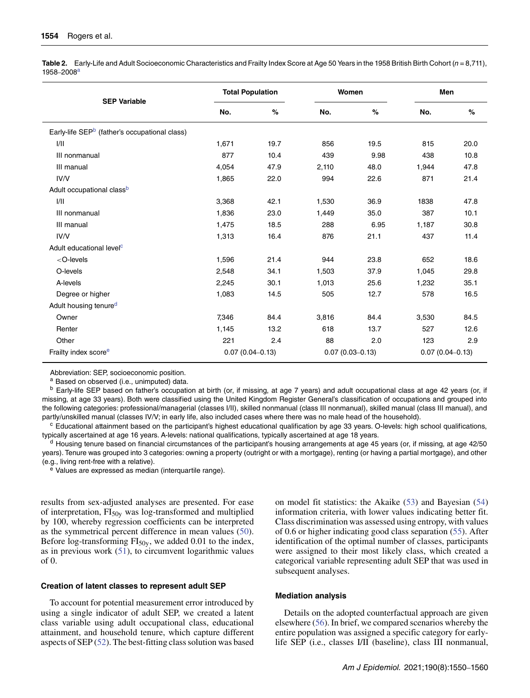<span id="page-5-0"></span>Table 2. Early-Life and Adult Socioeconomic Characteristics and Frailty Index Score at Age 50 Years in the 1958 British Birth Cohort (n = 8,711), 1958–2008a

| <b>SEP Variable</b>                                                                                        | <b>Total Population</b> |      | Women               |      | Men                 |      |  |
|------------------------------------------------------------------------------------------------------------|-------------------------|------|---------------------|------|---------------------|------|--|
|                                                                                                            | No.                     | %    | No.                 | $\%$ | No.                 | $\%$ |  |
| Early-life SEP <sup>b</sup> (father's occupational class)                                                  |                         |      |                     |      |                     |      |  |
| 1/11                                                                                                       | 1,671                   | 19.7 | 856                 | 19.5 | 815                 | 20.0 |  |
| III nonmanual                                                                                              | 877                     | 10.4 | 439                 | 9.98 | 438                 | 10.8 |  |
| III manual                                                                                                 | 4,054                   | 47.9 | 2,110               | 48.0 | 1,944               | 47.8 |  |
| IV/V                                                                                                       | 1,865                   | 22.0 | 994                 | 22.6 | 871                 | 21.4 |  |
| Adult occupational class <sup>b</sup>                                                                      |                         |      |                     |      |                     |      |  |
| 1/11                                                                                                       | 3,368                   | 42.1 | 1,530               | 36.9 | 1838                | 47.8 |  |
| III nonmanual                                                                                              | 1,836                   | 23.0 | 1,449               | 35.0 | 387                 | 10.1 |  |
| III manual                                                                                                 | 1,475                   | 18.5 | 288                 | 6.95 | 1,187               | 30.8 |  |
| IV/V                                                                                                       | 1,313                   | 16.4 | 876                 | 21.1 | 437                 | 11.4 |  |
| Adult educational level <sup>c</sup>                                                                       |                         |      |                     |      |                     |      |  |
| <o-levels< td=""><td>1,596</td><td>21.4</td><td>944</td><td>23.8</td><td>652</td><td>18.6</td></o-levels<> | 1,596                   | 21.4 | 944                 | 23.8 | 652                 | 18.6 |  |
| O-levels                                                                                                   | 2,548                   | 34.1 | 1,503               | 37.9 | 1,045               | 29.8 |  |
| A-levels                                                                                                   | 2,245                   | 30.1 | 1,013               | 25.6 | 1,232               | 35.1 |  |
| Degree or higher                                                                                           | 1,083                   | 14.5 | 505                 | 12.7 | 578                 | 16.5 |  |
| Adult housing tenured                                                                                      |                         |      |                     |      |                     |      |  |
| Owner                                                                                                      | 7,346                   | 84.4 | 3,816               | 84.4 | 3,530               | 84.5 |  |
| Renter                                                                                                     | 1,145                   | 13.2 | 618                 | 13.7 | 527                 | 12.6 |  |
| Other                                                                                                      | 221                     | 2.4  | 88                  | 2.0  | 123                 | 2.9  |  |
| Frailty index score <sup>e</sup>                                                                           | $0.07(0.04 - 0.13)$     |      | $0.07(0.03 - 0.13)$ |      | $0.07(0.04 - 0.13)$ |      |  |

Abbreviation: SEP, socioeconomic position.

a Based on observed (i.e., unimputed) data.

<sup>b</sup> Early-life SEP based on father's occupation at birth (or, if missing, at age 7 years) and adult occupational class at age 42 years (or, if missing, at age 33 years). Both were classified using the United Kingdom Register General's classification of occupations and grouped into the following categories: professional/managerial (classes I/II), skilled nonmanual (class III nonmanual), skilled manual (class III manual), and partly/unskilled manual (classes IV/V; in early life, also included cases where there was no male head of the household).

<sup>c</sup> Educational attainment based on the participant's highest educational qualification by age 33 years. O-levels: high school qualifications, typically ascertained at age 16 years. A-levels: national qualifications, typically ascertained at age 18 years.

<sup>d</sup> Housing tenure based on financial circumstances of the participant's housing arrangements at age 45 years (or, if missing, at age 42/50 years). Tenure was grouped into 3 categories: owning a property (outright or with a mortgage), renting (or having a partial mortgage), and other (e.g., living rent-free with a relative).

<sup>e</sup> Values are expressed as median (interquartile range).

results from sex-adjusted analyses are presented. For ease of interpretation,  $FI<sub>50y</sub>$  was log-transformed and multiplied by 100, whereby regression coefficients can be interpreted as the symmetrical percent difference in mean values [\(50\)](#page-11-8). Before log-transforming  $FI<sub>50y</sub>$ , we added 0.01 to the index, as in previous work  $(51)$ , to circumvent logarithmic values of 0.

#### **Creation of latent classes to represent adult SEP**

To account for potential measurement error introduced by using a single indicator of adult SEP, we created a latent class variable using adult occupational class, educational attainment, and household tenure, which capture different aspects of SEP [\(52\)](#page-11-10). The best-fitting class solution was based

on model fit statistics: the Akaike [\(53\)](#page-11-11) and Bayesian [\(54\)](#page-11-12) information criteria, with lower values indicating better fit. Class discrimination was assessed using entropy, with values of 0.6 or higher indicating good class separation [\(55\)](#page-11-13). After identification of the optimal number of classes, participants were assigned to their most likely class, which created a categorical variable representing adult SEP that was used in subsequent analyses.

## **Mediation analysis**

Details on the adopted counterfactual approach are given elsewhere [\(56\)](#page-11-14). In brief, we compared scenarios whereby the entire population was assigned a specific category for earlylife SEP (i.e., classes I/II (baseline), class III nonmanual,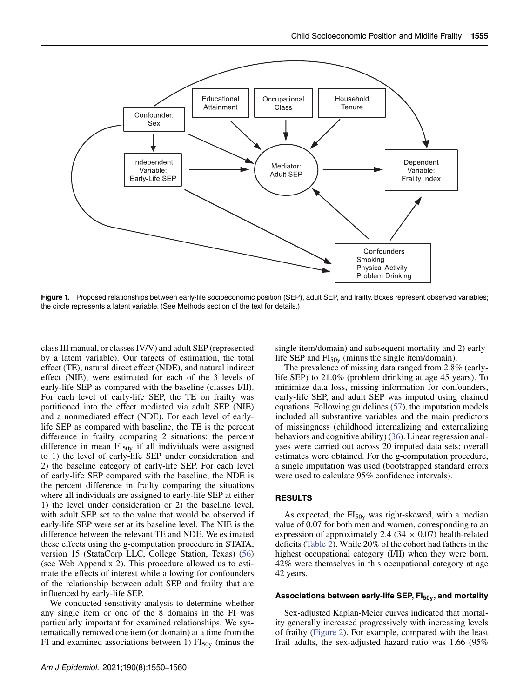

<span id="page-6-0"></span>Figure 1. Proposed relationships between early-life socioeconomic position (SEP), adult SEP, and frailty. Boxes represent observed variables; the circle represents a latent variable. (See Methods section of the text for details.)

class III manual, or classes IV/V) and adult SEP (represented by a latent variable). Our targets of estimation, the total effect (TE), natural direct effect (NDE), and natural indirect effect (NIE), were estimated for each of the 3 levels of early-life SEP as compared with the baseline (classes I/II). For each level of early-life SEP, the TE on frailty was partitioned into the effect mediated via adult SEP (NIE) and a nonmediated effect (NDE). For each level of earlylife SEP as compared with baseline, the TE is the percent difference in frailty comparing 2 situations: the percent difference in mean  $FI<sub>50y</sub>$  if all individuals were assigned to 1) the level of early-life SEP under consideration and 2) the baseline category of early-life SEP. For each level of early-life SEP compared with the baseline, the NDE is the percent difference in frailty comparing the situations where all individuals are assigned to early-life SEP at either 1) the level under consideration or 2) the baseline level, with adult SEP set to the value that would be observed if early-life SEP were set at its baseline level. The NIE is the difference between the relevant TE and NDE. We estimated these effects using the g-computation procedure in STATA, version 15 (StataCorp LLC, College Station, Texas) [\(56\)](#page-11-14) (see Web Appendix 2). This procedure allowed us to estimate the effects of interest while allowing for confounders of the relationship between adult SEP and frailty that are influenced by early-life SEP.

We conducted sensitivity analysis to determine whether any single item or one of the 8 domains in the FI was particularly important for examined relationships. We systematically removed one item (or domain) at a time from the FI and examined associations between 1)  $FI<sub>50y</sub>$  (minus the single item/domain) and subsequent mortality and 2) earlylife SEP and  $FI<sub>50y</sub>$  (minus the single item/domain).

The prevalence of missing data ranged from 2.8% (earlylife SEP) to 21.0% (problem drinking at age 45 years). To minimize data loss, missing information for confounders, early-life SEP, and adult SEP was imputed using chained equations. Following guidelines [\(57\)](#page-11-15), the imputation models included all substantive variables and the main predictors of missingness (childhood internalizing and externalizing behaviors and cognitive ability) [\(36\)](#page-10-27). Linear regression analyses were carried out across 20 imputed data sets; overall estimates were obtained. For the g-computation procedure, a single imputation was used (bootstrapped standard errors were used to calculate 95% confidence intervals).

## **RESULTS**

As expected, the  $FI<sub>50y</sub>$  was right-skewed, with a median value of 0.07 for both men and women, corresponding to an expression of approximately 2.4 (34  $\times$  0.07) health-related deficits [\(Table 2\)](#page-5-0). While 20% of the cohort had fathers in the highest occupational category (I/II) when they were born, 42% were themselves in this occupational category at age 42 years.

## Associations between early-life SEP, FI<sub>50y</sub>, and mortality

Sex-adjusted Kaplan-Meier curves indicated that mortality generally increased progressively with increasing levels of frailty [\(Figure 2\)](#page-7-0). For example, compared with the least frail adults, the sex-adjusted hazard ratio was 1.66 (95%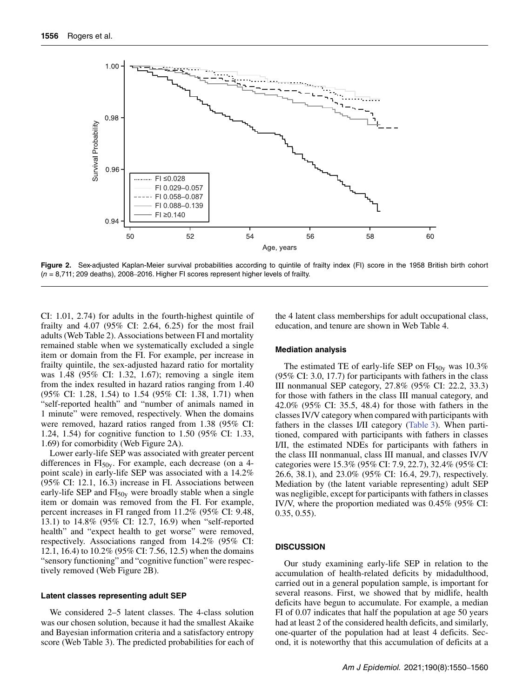

<span id="page-7-0"></span>Figure 2. Sex-adjusted Kaplan-Meier survival probabilities according to quintile of frailty index (FI) score in the 1958 British birth cohort  $(n = 8,711; 209$  deaths), 2008–2016. Higher FI scores represent higher levels of frailty.

CI: 1.01, 2.74) for adults in the fourth-highest quintile of frailty and 4.07 (95% CI: 2.64, 6.25) for the most frail adults (Web Table 2). Associations between FI and mortality remained stable when we systematically excluded a single item or domain from the FI. For example, per increase in frailty quintile, the sex-adjusted hazard ratio for mortality was 1.48 (95% CI: 1.32, 1.67); removing a single item from the index resulted in hazard ratios ranging from 1.40 (95% CI: 1.28, 1.54) to 1.54 (95% CI: 1.38, 1.71) when "self-reported health" and "number of animals named in 1 minute" were removed, respectively. When the domains were removed, hazard ratios ranged from 1.38 (95% CI: 1.24, 1.54) for cognitive function to 1.50 (95% CI: 1.33, 1.69) for comorbidity (Web Figure 2A).

Lower early-life SEP was associated with greater percent differences in  $FI<sub>50y</sub>$ . For example, each decrease (on a 4point scale) in early-life SEP was associated with a 14.2% (95% CI: 12.1, 16.3) increase in FI. Associations between early-life SEP and  $FI<sub>50y</sub>$  were broadly stable when a single item or domain was removed from the FI. For example, percent increases in FI ranged from 11.2% (95% CI: 9.48, 13.1) to 14.8% (95% CI: 12.7, 16.9) when "self-reported health" and "expect health to get worse" were removed, respectively. Associations ranged from 14.2% (95% CI: 12.1, 16.4) to 10.2% (95% CI: 7.56, 12.5) when the domains "sensory functioning" and "cognitive function" were respectively removed (Web Figure 2B).

### **Latent classes representing adult SEP**

We considered 2–5 latent classes. The 4-class solution was our chosen solution, because it had the smallest Akaike and Bayesian information criteria and a satisfactory entropy score (Web Table 3). The predicted probabilities for each of the 4 latent class memberships for adult occupational class, education, and tenure are shown in Web Table 4.

#### **Mediation analysis**

The estimated TE of early-life SEP on  $FI<sub>50y</sub>$  was 10.3% (95% CI: 3.0, 17.7) for participants with fathers in the class III nonmanual SEP category, 27.8% (95% CI: 22.2, 33.3) for those with fathers in the class III manual category, and 42.0% (95% CI: 35.5, 48.4) for those with fathers in the classes IV/V category when compared with participants with fathers in the classes I/II category [\(Table 3\)](#page-8-0). When partitioned, compared with participants with fathers in classes I/II, the estimated NDEs for participants with fathers in the class III nonmanual, class III manual, and classes IV/V categories were 15.3% (95% CI: 7.9, 22.7), 32.4% (95% CI: 26.6, 38.1), and 23.0% (95% CI: 16.4, 29.7), respectively. Mediation by (the latent variable representing) adult SEP was negligible, except for participants with fathers in classes IV/V, where the proportion mediated was 0.45% (95% CI: 0.35, 0.55).

#### **DISCUSSION**

Our study examining early-life SEP in relation to the accumulation of health-related deficits by midadulthood, carried out in a general population sample, is important for several reasons. First, we showed that by midlife, health deficits have begun to accumulate. For example, a median FI of 0.07 indicates that half the population at age 50 years had at least 2 of the considered health deficits, and similarly, one-quarter of the population had at least 4 deficits. Second, it is noteworthy that this accumulation of deficits at a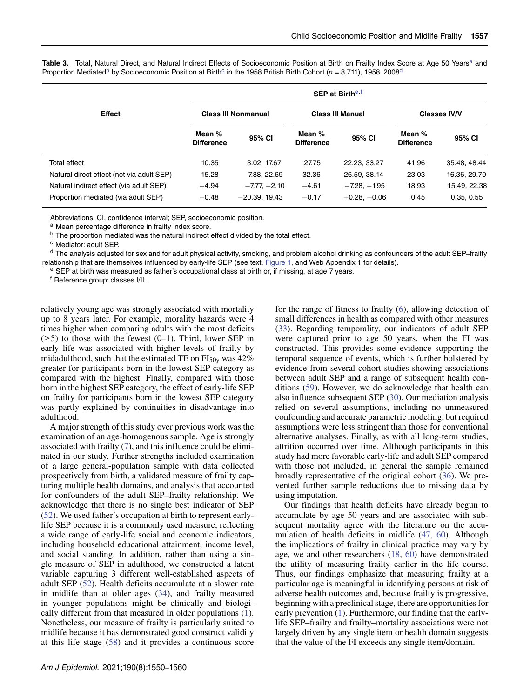<span id="page-8-0"></span>Table 3. Total, Natural Direct, and Natural Indirect Effects of Socioeconomic Position at Birth on Frailty Index Score at Age 50 Years<sup>a</sup> and Proportion Mediated<sup>b</sup> by Socioeconomic Position at Birth<sup>c</sup> in the 1958 British Birth Cohort (n = 8,711), 1958–2008<sup>d</sup>

|                                           | <b>SEP at Birth<sup>e,f</sup></b> |                 |                             |                         |                             |              |  |  |
|-------------------------------------------|-----------------------------------|-----------------|-----------------------------|-------------------------|-----------------------------|--------------|--|--|
| <b>Effect</b>                             | <b>Class III Nonmanual</b>        |                 |                             | <b>Class III Manual</b> | <b>Classes IV/V</b>         |              |  |  |
|                                           | Mean %<br><b>Difference</b>       | 95% CI          | Mean %<br><b>Difference</b> | 95% CI                  | Mean %<br><b>Difference</b> | 95% CI       |  |  |
| Total effect                              | 10.35                             | 3.02, 17.67     | 27.75                       | 22.23, 33.27            | 41.96                       | 35.48, 48.44 |  |  |
| Natural direct effect (not via adult SEP) | 15.28                             | 7.88, 22.69     | 32.36                       | 26.59, 38.14            | 23.03                       | 16.36, 29.70 |  |  |
| Natural indirect effect (via adult SEP)   | $-4.94$                           | $-7.77 - 2.10$  | $-4.61$                     | $-7.28. -1.95$          | 18.93                       | 15.49, 22.38 |  |  |
| Proportion mediated (via adult SEP)       | $-0.48$                           | $-20.39, 19.43$ | $-0.17$                     | $-0.28. -0.06$          | 0.45                        | 0.35, 0.55   |  |  |

Abbreviations: CI, confidence interval; SEP, socioeconomic position.

a Mean percentage difference in frailty index score.

**b** The proportion mediated was the natural indirect effect divided by the total effect.

<sup>c</sup> Mediator: adult SEP.

 $d$  The analysis adjusted for sex and for adult physical activity, smoking, and problem alcohol drinking as confounders of the adult SEP–frailty relationship that are themselves influenced by early-life SEP (see text, [Figure 1,](#page-6-0) and Web Appendix 1 for details).

<sup>e</sup> SEP at birth was measured as father's occupational class at birth or, if missing, at age 7 years.

<sup>f</sup> Reference group: classes I/II.

relatively young age was strongly associated with mortality up to 8 years later. For example, morality hazards were 4 times higher when comparing adults with the most deficits  $(\geq 5)$  to those with the fewest  $(0-1)$ . Third, lower SEP in early life was associated with higher levels of frailty by midadulthood, such that the estimated TE on  $FI<sub>50y</sub>$  was 42% greater for participants born in the lowest SEP category as compared with the highest. Finally, compared with those born in the highest SEP category, the effect of early-life SEP on frailty for participants born in the lowest SEP category was partly explained by continuities in disadvantage into adulthood.

A major strength of this study over previous work was the examination of an age-homogenous sample. Age is strongly associated with frailty [\(7\)](#page-9-6), and this influence could be eliminated in our study. Further strengths included examination of a large general-population sample with data collected prospectively from birth, a validated measure of frailty capturing multiple health domains, and analysis that accounted for confounders of the adult SEP–frailty relationship. We acknowledge that there is no single best indicator of SEP [\(52\)](#page-11-10). We used father's occupation at birth to represent earlylife SEP because it is a commonly used measure, reflecting a wide range of early-life social and economic indicators, including household educational attainment, income level, and social standing. In addition, rather than using a single measure of SEP in adulthood, we constructed a latent variable capturing 3 different well-established aspects of adult SEP [\(52\)](#page-11-10). Health deficits accumulate at a slower rate in midlife than at older ages [\(34\)](#page-10-25), and frailty measured in younger populations might be clinically and biologically different from that measured in older populations [\(1\)](#page-9-0). Nonetheless, our measure of frailty is particularly suited to midlife because it has demonstrated good construct validity at this life stage [\(58\)](#page-11-16) and it provides a continuous score

for the range of fitness to frailty [\(6\)](#page-9-5), allowing detection of small differences in health as compared with other measures [\(33\)](#page-10-24). Regarding temporality, our indicators of adult SEP were captured prior to age 50 years, when the FI was constructed. This provides some evidence supporting the temporal sequence of events, which is further bolstered by evidence from several cohort studies showing associations between adult SEP and a range of subsequent health conditions [\(59\)](#page-11-17). However, we do acknowledge that health can also influence subsequent SEP [\(30\)](#page-10-21). Our mediation analysis relied on several assumptions, including no unmeasured confounding and accurate parametric modeling; but required assumptions were less stringent than those for conventional alternative analyses. Finally, as with all long-term studies, attrition occurred over time. Although participants in this study had more favorable early-life and adult SEP compared with those not included, in general the sample remained broadly representative of the original cohort [\(36\)](#page-10-27). We prevented further sample reductions due to missing data by using imputation.

Our findings that health deficits have already begun to accumulate by age 50 years and are associated with subsequent mortality agree with the literature on the accumulation of health deficits in midlife [\(47,](#page-11-5) [60\)](#page-11-18). Although the implications of frailty in clinical practice may vary by age, we and other researchers [\(18,](#page-10-9) [60\)](#page-11-18) have demonstrated the utility of measuring frailty earlier in the life course. Thus, our findings emphasize that measuring frailty at a particular age is meaningful in identifying persons at risk of adverse health outcomes and, because frailty is progressive, beginning with a preclinical stage, there are opportunities for early prevention [\(1\)](#page-9-0). Furthermore, our finding that the earlylife SEP–frailty and frailty–mortality associations were not largely driven by any single item or health domain suggests that the value of the FI exceeds any single item/domain.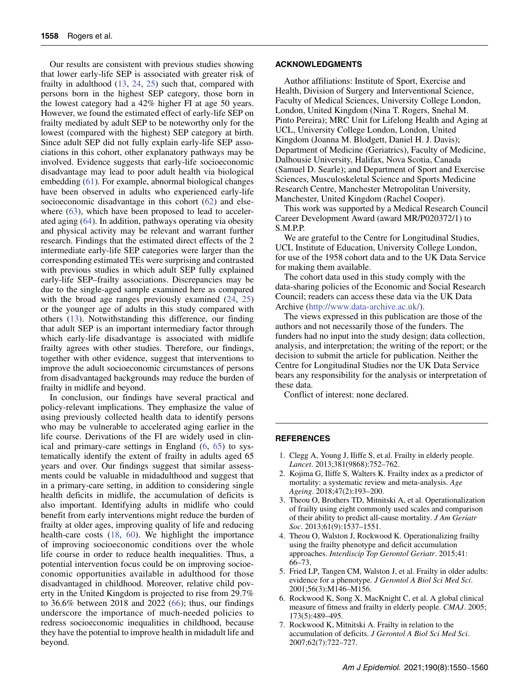Our results are consistent with previous studies showing that lower early-life SEP is associated with greater risk of frailty in adulthood [\(13,](#page-10-4) [24,](#page-10-19) [25\)](#page-10-13) such that, compared with persons born in the highest SEP category, those born in the lowest category had a 42% higher FI at age 50 years. However, we found the estimated effect of early-life SEP on frailty mediated by adult SEP to be noteworthy only for the lowest (compared with the highest) SEP category at birth. Since adult SEP did not fully explain early-life SEP associations in this cohort, other explanatory pathways may be involved. Evidence suggests that early-life socioeconomic disadvantage may lead to poor adult health via biological embedding [\(61\)](#page-11-19). For example, abnormal biological changes have been observed in adults who experienced early-life socioeconomic disadvantage in this cohort [\(62\)](#page-11-20) and else-where [\(63\)](#page-11-21), which have been proposed to lead to accelerated aging [\(64\)](#page-11-22). In addition, pathways operating via obesity and physical activity may be relevant and warrant further research. Findings that the estimated direct effects of the 2 intermediate early-life SEP categories were larger than the corresponding estimated TEs were surprising and contrasted with previous studies in which adult SEP fully explained early-life SEP–frailty associations. Discrepancies may be due to the single-aged sample examined here as compared with the broad age ranges previously examined  $(24, 25)$  $(24, 25)$  $(24, 25)$ or the younger age of adults in this study compared with others [\(13\)](#page-10-4). Notwithstanding this difference, our finding that adult SEP is an important intermediary factor through which early-life disadvantage is associated with midlife frailty agrees with other studies. Therefore, our findings, together with other evidence, suggest that interventions to improve the adult socioeconomic circumstances of persons from disadvantaged backgrounds may reduce the burden of frailty in midlife and beyond.

In conclusion, our findings have several practical and policy-relevant implications. They emphasize the value of using previously collected health data to identify persons who may be vulnerable to accelerated aging earlier in the life course. Derivations of the FI are widely used in clinical and primary-care settings in England [\(6,](#page-9-5) [65\)](#page-11-23) to systematically identify the extent of frailty in adults aged 65 years and over. Our findings suggest that similar assessments could be valuable in midadulthood and suggest that in a primary-care setting, in addition to considering single health deficits in midlife, the accumulation of deficits is also important. Identifying adults in midlife who could benefit from early interventions might reduce the burden of frailty at older ages, improving quality of life and reducing health-care costs [\(18,](#page-10-9) [60\)](#page-11-18). We highlight the importance of improving socioeconomic conditions over the whole life course in order to reduce health inequalities. Thus, a potential intervention focus could be on improving socioeconomic opportunities available in adulthood for those disadvantaged in childhood. Moreover, relative child poverty in the United Kingdom is projected to rise from 29.7% to 36.6% between 2018 and 2022 [\(66\)](#page-11-24); thus, our findings underscore the importance of much-needed policies to redress socioeconomic inequalities in childhood, because they have the potential to improve health in midadult life and beyond.

### **ACKNOWLEDGMENTS**

Author affiliations: Institute of Sport, Exercise and Health, Division of Surgery and Interventional Science, Faculty of Medical Sciences, University College London, London, United Kingdom (Nina T. Rogers, Snehal M. Pinto Pereira); MRC Unit for Lifelong Health and Aging at UCL, University College London, London, United Kingdom (Joanna M. Blodgett, Daniel H. J. Davis); Department of Medicine (Geriatrics), Faculty of Medicine, Dalhousie University, Halifax, Nova Scotia, Canada (Samuel D. Searle); and Department of Sport and Exercise Sciences, Musculoskeletal Science and Sports Medicine Research Centre, Manchester Metropolitan University, Manchester, United Kingdom (Rachel Cooper).

This work was supported by a Medical Research Council Career Development Award (award MR/P020372/1) to S.M.P.P.

We are grateful to the Centre for Longitudinal Studies, UCL Institute of Education, University College London, for use of the 1958 cohort data and to the UK Data Service for making them available.

The cohort data used in this study comply with the data-sharing policies of the Economic and Social Research Council; readers can access these data via the UK Data Archive [\(http://www.data-archive.ac.uk/\)](http://www.data-archive.ac.uk/).

The views expressed in this publication are those of the authors and not necessarily those of the funders. The funders had no input into the study design; data collection, analysis, and interpretation; the writing of the report; or the decision to submit the article for publication. Neither the Centre for Longitudinal Studies nor the UK Data Service bears any responsibility for the analysis or interpretation of these data.

Conflict of interest: none declared.

## **REFERENCES**

- <span id="page-9-0"></span>1. Clegg A, Young J, Iliffe S, et al. Frailty in elderly people. *Lancet*. 2013;381(9868):752–762.
- <span id="page-9-1"></span>2. Kojima G, Iliffe S, Walters K. Frailty index as a predictor of mortality: a systematic review and meta-analysis. *Age Ageing*. 2018;47(2):193–200.
- <span id="page-9-2"></span>3. Theou O, Brothers TD, Mitnitski A, et al. Operationalization of frailty using eight commonly used scales and comparison of their ability to predict all-cause mortality. *J Am Geriatr Soc*. 2013;61(9):1537–1551.
- <span id="page-9-3"></span>4. Theou O, Walston J, Rockwood K. Operationalizing frailty using the frailty phenotype and deficit accumulation approaches. *Interdiscip Top Gerontol Geriatr*. 2015;41: 66–73.
- <span id="page-9-4"></span>5. Fried LP, Tangen CM, Walston J, et al. Frailty in older adults: evidence for a phenotype. *J Gerontol A Biol Sci Med Sci*. 2001;56(3):M146–M156.
- <span id="page-9-5"></span>6. Rockwood K, Song X, MacKnight C, et al. A global clinical measure of fitness and frailty in elderly people. *CMAJ*. 2005; 173(5):489–495.
- <span id="page-9-6"></span>7. Rockwood K, Mitnitski A. Frailty in relation to the accumulation of deficits. *J Gerontol A Biol Sci Med Sci*. 2007;62(7):722–727.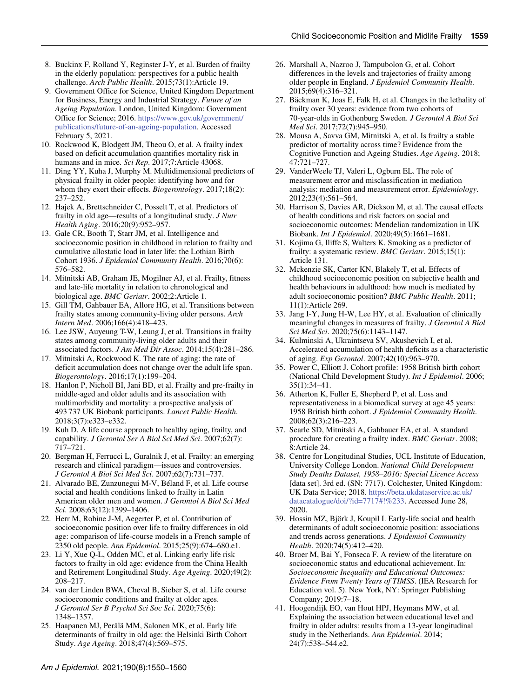- <span id="page-10-0"></span>8. Buckinx F, Rolland Y, Reginster J-Y, et al. Burden of frailty in the elderly population: perspectives for a public health challenge. *Arch Public Health*. 2015;73(1):Article 19.
- <span id="page-10-1"></span>9. Government Office for Science, United Kingdom Department for Business, Energy and Industrial Strategy. *Future of an Ageing Population*. London, United Kingdom: Government Office for Science; 2016. https://www.gov.uk/government/ [publications/future-of-an-ageing-population. Accessed](https://www.gov.uk/government/publications/future-of-an-ageing-population) February 5, 2021.
- <span id="page-10-2"></span>10. Rockwood K, Blodgett JM, Theou O, et al. A frailty index based on deficit accumulation quantifies mortality risk in humans and in mice. *Sci Rep*. 2017;7:Article 43068.
- <span id="page-10-3"></span>11. Ding YY, Kuha J, Murphy M. Multidimensional predictors of physical frailty in older people: identifying how and for whom they exert their effects. *Biogerontology*. 2017;18(2): 237–252.
- 12. Hajek A, Brettschneider C, Posselt T, et al. Predictors of frailty in old age—results of a longitudinal study. *J Nutr Health Aging*. 2016;20(9):952–957.
- <span id="page-10-4"></span>13. Gale CR, Booth T, Starr JM, et al. Intelligence and socioeconomic position in childhood in relation to frailty and cumulative allostatic load in later life: the Lothian Birth Cohort 1936. *J Epidemiol Community Health*. 2016;70(6): 576–582.
- <span id="page-10-5"></span>14. Mitnitski AB, Graham JE, Mogilner AJ, et al. Frailty, fitness and late-life mortality in relation to chronological and biological age. *BMC Geriatr*. 2002;2:Article 1.
- <span id="page-10-6"></span>15. Gill TM, Gahbauer EA, Allore HG, et al. Transitions between frailty states among community-living older persons. *Arch Intern Med*. 2006;166(4):418–423.
- <span id="page-10-7"></span>16. Lee JSW, Auyeung T-W, Leung J, et al. Transitions in frailty states among community-living older adults and their associated factors. *J Am Med Dir Assoc*. 2014;15(4):281–286.
- <span id="page-10-8"></span>17. Mitnitski A, Rockwood K. The rate of aging: the rate of deficit accumulation does not change over the adult life span. *Biogerontology*. 2016;17(1):199–204.
- <span id="page-10-9"></span>18. Hanlon P, Nicholl BI, Jani BD, et al. Frailty and pre-frailty in middle-aged and older adults and its association with multimorbidity and mortality: a prospective analysis of 493 737 UK Biobank participants. *Lancet Public Health*. 2018;3(7):e323–e332.
- <span id="page-10-10"></span>19. Kuh D. A life course approach to healthy aging, frailty, and capability. *J Gerontol Ser A Biol Sci Med Sci*. 2007;62(7): 717–721.
- <span id="page-10-11"></span>20. Bergman H, Ferrucci L, Guralnik J, et al. Frailty: an emerging research and clinical paradigm—issues and controversies. *J Gerontol A Biol Sci Med Sci*. 2007;62(7):731–737.
- <span id="page-10-12"></span>21. Alvarado BE, Zunzunegui M-V, Béland F, et al. Life course social and health conditions linked to frailty in Latin American older men and women. *J Gerontol A Biol Sci Med Sci*. 2008;63(12):1399–1406.
- <span id="page-10-14"></span>22. Herr M, Robine J-M, Aegerter P, et al. Contribution of socioeconomic position over life to frailty differences in old age: comparison of life-course models in a French sample of 2350 old people. *Ann Epidemiol*. 2015;25(9):674–680.e1.
- <span id="page-10-15"></span>23. Li Y, Xue Q-L, Odden MC, et al. Linking early life risk factors to frailty in old age: evidence from the China Health and Retirement Longitudinal Study. *Age Ageing*. 2020;49(2): 208–217.
- <span id="page-10-19"></span>24. van der Linden BWA, Cheval B, Sieber S, et al. Life course socioeconomic conditions and frailty at older ages. *J Gerontol Ser B Psychol Sci Soc Sci*. 2020;75(6): 1348–1357.
- <span id="page-10-13"></span>25. Haapanen MJ, Perälä MM, Salonen MK, et al. Early life determinants of frailty in old age: the Helsinki Birth Cohort Study. *Age Ageing*. 2018;47(4):569–575.
- <span id="page-10-16"></span>26. Marshall A, Nazroo J, Tampubolon G, et al. Cohort differences in the levels and trajectories of frailty among older people in England. *J Epidemiol Community Health*. 2015;69(4):316–321.
- <span id="page-10-17"></span>27. Bäckman K, Joas E, Falk H, et al. Changes in the lethality of frailty over 30 years: evidence from two cohorts of 70-year-olds in Gothenburg Sweden. *J Gerontol A Biol Sci Med Sci*. 2017;72(7):945–950.
- <span id="page-10-18"></span>28. Mousa A, Savva GM, Mitnitski A, et al. Is frailty a stable predictor of mortality across time? Evidence from the Cognitive Function and Ageing Studies. *Age Ageing*. 2018; 47:721–727.
- <span id="page-10-20"></span>29. VanderWeele TJ, Valeri L, Ogburn EL. The role of measurement error and misclassification in mediation analysis: mediation and measurement error. *Epidemiology*. 2012;23(4):561–564.
- <span id="page-10-21"></span>30. Harrison S, Davies AR, Dickson M, et al. The causal effects of health conditions and risk factors on social and socioeconomic outcomes: Mendelian randomization in UK Biobank. *Int J Epidemiol*. 2020;49(5):1661–1681.
- <span id="page-10-22"></span>31. Kojima G, Iliffe S, Walters K. Smoking as a predictor of frailty: a systematic review. *BMC Geriatr*. 2015;15(1): Article 131.
- <span id="page-10-23"></span>32. Mckenzie SK, Carter KN, Blakely T, et al. Effects of childhood socioeconomic position on subjective health and health behaviours in adulthood: how much is mediated by adult socioeconomic position? *BMC Public Health*. 2011; 11(1):Article 269.
- <span id="page-10-24"></span>33. Jang I-Y, Jung H-W, Lee HY, et al. Evaluation of clinically meaningful changes in measures of frailty. *J Gerontol A Biol Sci Med Sci*. 2020;75(6):1143–1147.
- <span id="page-10-25"></span>34. Kulminski A, Ukraintseva SV, Akushevich I, et al. Accelerated accumulation of health deficits as a characteristic of aging. *Exp Gerontol*. 2007;42(10):963–970.
- <span id="page-10-26"></span>35. Power C, Elliott J. Cohort profile: 1958 British birth cohort (National Child Development Study). *Int J Epidemiol*. 2006; 35(1):34–41.
- <span id="page-10-27"></span>36. Atherton K, Fuller E, Shepherd P, et al. Loss and representativeness in a biomedical survey at age 45 years: 1958 British birth cohort. *J Epidemiol Community Health*. 2008;62(3):216–223.
- <span id="page-10-28"></span>37. Searle SD, Mitnitski A, Gahbauer EA, et al. A standard procedure for creating a frailty index. *BMC Geriatr*. 2008; 8:Article 24.
- <span id="page-10-29"></span>38. Centre for Longitudinal Studies, UCL Institute of Education, University College London. *National Child Development Study Deaths Dataset, 1958–2016: Special Licence Access* [data set]. 3rd ed. (SN: 7717). Colchester, United Kingdom: UK Data Service; 2018. https://beta.ukdataservice.ac.uk/ [datacatalogue/doi/?id=7717#!%233. Accessed June 28,](https://beta.ukdataservice.ac.uk/datacatalogue/doi/?id=7717#!%233) 2020.
- <span id="page-10-30"></span>39. Hossin MZ, Björk J, Koupil I. Early-life social and health determinants of adult socioeconomic position: associations and trends across generations. *J Epidemiol Community Health*. 2020;74(5):412–420.
- <span id="page-10-31"></span>40. Broer M, Bai Y, Fonseca F. A review of the literature on socioeconomic status and educational achievement. In: *Socioeconomic Inequality and Educational Outcomes: Evidence From Twenty Years of TIMSS*. (IEA Research for Education vol. 5). New York, NY: Springer Publishing Company; 2019:7–18.
- <span id="page-10-32"></span>41. Hoogendijk EO, van Hout HPJ, Heymans MW, et al. Explaining the association between educational level and frailty in older adults: results from a 13-year longitudinal study in the Netherlands. *Ann Epidemiol*. 2014; 24(7):538–544.e2.